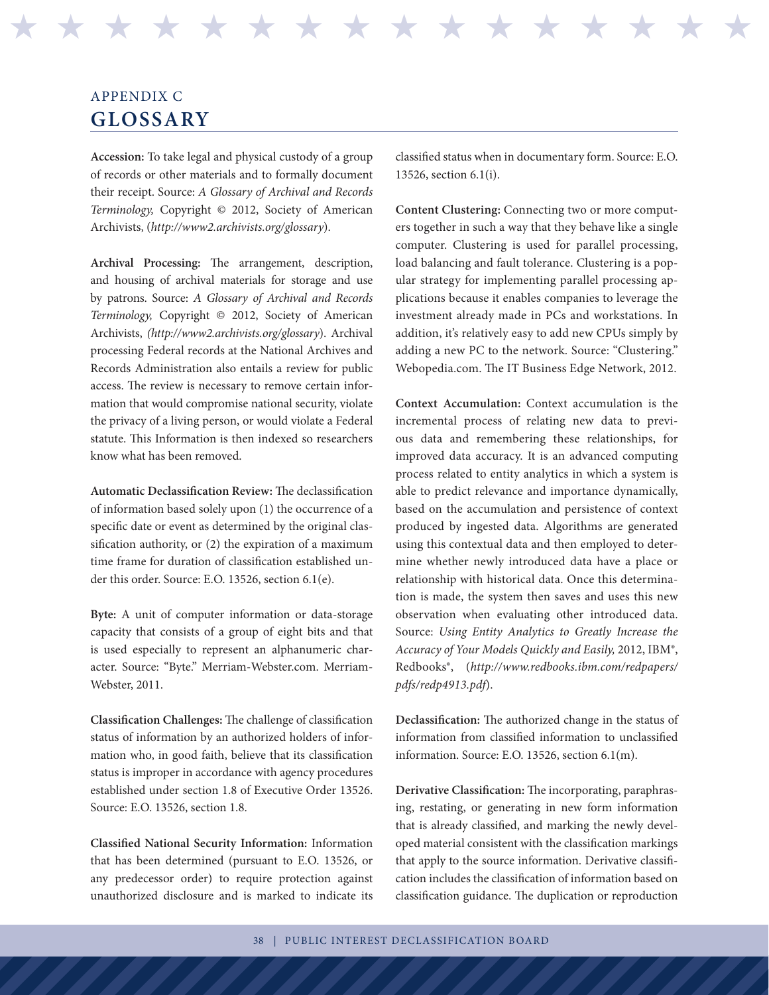## APPENDIX C **GLOSSARY**

**Accession:** To take legal and physical custody of a group of records or other materials and to formally document their receipt. Source: *A Glossary of Archival and Records Terminology,* Copyright © 2012, Society of American Archivists, (*http://www2.archivists.org/glossary*).

\* \* \* \* \* \* \* \* \* \* \* \* \* \*

**Archival Processing:** The arrangement, description, and housing of archival materials for storage and use by patrons. Source: *A Glossary of Archival and Records Terminology,* Copyright © 2012, Society of American Archivists, *(http://www2.archivists.org/glossary*). Archival processing Federal records at the National Archives and Records Administration also entails a review for public access. The review is necessary to remove certain information that would compromise national security, violate the privacy of a living person, or would violate a Federal statute. This Information is then indexed so researchers know what has been removed.

**Automatic Declassification Review:** The declassification of information based solely upon (1) the occurrence of a specific date or event as determined by the original classification authority, or (2) the expiration of a maximum time frame for duration of classification established under this order. Source: E.O. 13526, section 6.1(e).

**Byte:** A unit of computer information or data-storage capacity that consists of a group of eight bits and that is used especially to represent an alphanumeric character. Source: "Byte." Merriam-Webster.com. Merriam-Webster, 2011.

**Classification Challenges:** The challenge of classification status of information by an authorized holders of information who, in good faith, believe that its classification status is improper in accordance with agency procedures established under section 1.8 of Executive Order 13526. Source: E.O. 13526, section 1.8.

**Classified National Security Information:** Information that has been determined (pursuant to E.O. 13526, or any predecessor order) to require protection against unauthorized disclosure and is marked to indicate its

classified status when in documentary form. Source: E.O. 13526, section 6.1(i).

**Content Clustering:** Connecting two or more computers together in such a way that they behave like a single computer. Clustering is used for parallel processing, load balancing and fault tolerance. Clustering is a popular strategy for implementing parallel processing applications because it enables companies to leverage the investment already made in PCs and workstations. In addition, it's relatively easy to add new CPUs simply by adding a new PC to the network. Source: "Clustering." Webopedia.com. The IT Business Edge Network, 2012.

**Context Accumulation:** Context accumulation is the incremental process of relating new data to previous data and remembering these relationships, for improved data accuracy. It is an advanced computing process related to entity analytics in which a system is able to predict relevance and importance dynamically, based on the accumulation and persistence of context produced by ingested data. Algorithms are generated using this contextual data and then employed to determine whether newly introduced data have a place or relationship with historical data. Once this determination is made, the system then saves and uses this new observation when evaluating other introduced data. Source: *Using Entity Analytics to Greatly Increase the Accuracy of Your Models Quickly and Easily,* 2012, IBM®, Redbooks®, (*http://www.redbooks.ibm.com/redpapers/ pdfs/redp4913.pdf*).

**Declassification:** The authorized change in the status of information from classified information to unclassified information. Source: E.O. 13526, section 6.1(m).

**Derivative Classification:** The incorporating, paraphrasing, restating, or generating in new form information that is already classified, and marking the newly developed material consistent with the classification markings that apply to the source information. Derivative classification includes the classification of information based on classification guidance. The duplication or reproduction

38 | PUBLIC INTEREST DECLASSIFICATION BOARD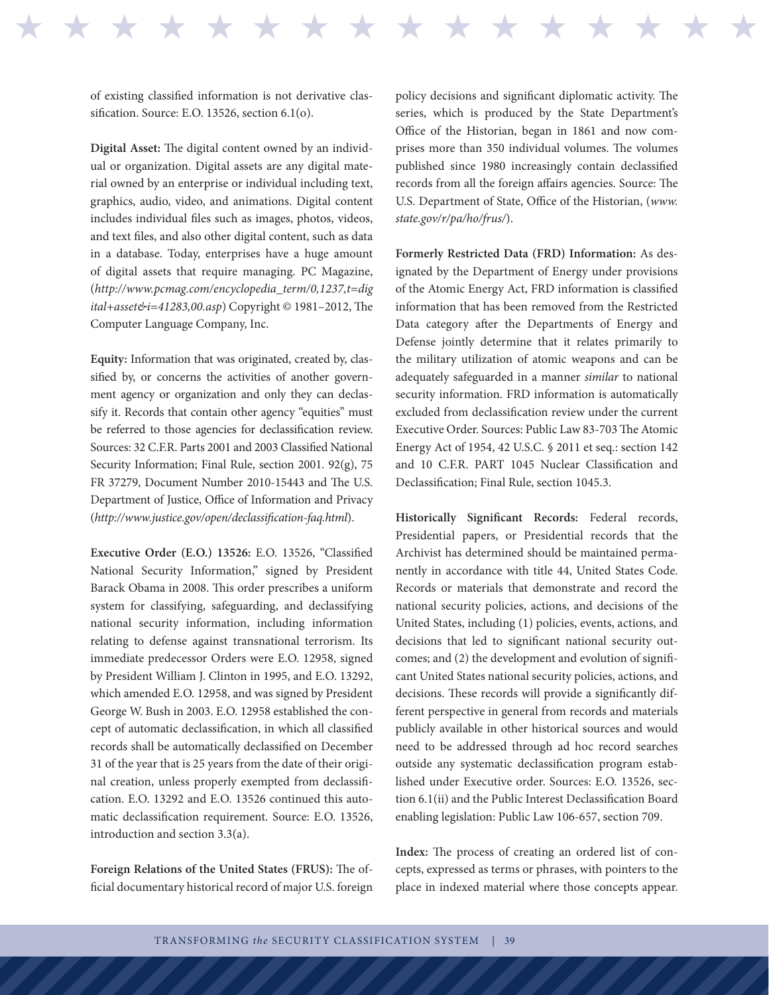H H H H H H H H H H H H H H H H H H H H H H H H H H H H H H H H

**Digital Asset:** The digital content owned by an individual or organization. Digital assets are any digital material owned by an enterprise or individual including text, graphics, audio, video, and animations. Digital content includes individual files such as images, photos, videos, and text files, and also other digital content, such as data in a database. Today, enterprises have a huge amount of digital assets that require managing. PC Magazine, (*http://www.pcmag.com/encyclopedia\_term/0,1237,t=dig ital+asset&i=41283,00.asp*) Copyright © 1981–2012, The Computer Language Company, Inc.

**Equity:** Information that was originated, created by, classified by, or concerns the activities of another government agency or organization and only they can declassify it. Records that contain other agency "equities" must be referred to those agencies for declassification review. Sources: 32 C.F.R. Parts 2001 and 2003 Classified National Security Information; Final Rule, section 2001. 92(g), 75 FR 37279, Document Number 2010-15443 and The U.S. Department of Justice, Office of Information and Privacy (*http://www.justice.gov/open/declassification-faq.html*).

**Executive Order (E.O.) 13526:** E.O. 13526, "Classified National Security Information," signed by President Barack Obama in 2008. This order prescribes a uniform system for classifying, safeguarding, and declassifying national security information, including information relating to defense against transnational terrorism. Its immediate predecessor Orders were E.O. 12958, signed by President William J. Clinton in 1995, and E.O. 13292, which amended E.O. 12958, and was signed by President George W. Bush in 2003. E.O. 12958 established the concept of automatic declassification, in which all classified records shall be automatically declassified on December 31 of the year that is 25 years from the date of their original creation, unless properly exempted from declassification. E.O. 13292 and E.O. 13526 continued this automatic declassification requirement. Source: E.O. 13526, introduction and section 3.3(a).

**Foreign Relations of the United States (FRUS):** The official documentary historical record of major U.S. foreign policy decisions and significant diplomatic activity. The series, which is produced by the State Department's Office of the Historian, began in 1861 and now comprises more than 350 individual volumes. The volumes published since 1980 increasingly contain declassified records from all the foreign affairs agencies. Source: The U.S. Department of State, Office of the Historian, (*www. state.gov/r/pa/ho/frus/*).

**Formerly Restricted Data (FRD) Information:** As designated by the Department of Energy under provisions of the Atomic Energy Act, FRD information is classified information that has been removed from the Restricted Data category after the Departments of Energy and Defense jointly determine that it relates primarily to the military utilization of atomic weapons and can be adequately safeguarded in a manner *similar* to national security information. FRD information is automatically excluded from declassification review under the current Executive Order. Sources: Public Law 83-703 The Atomic Energy Act of 1954, 42 U.S.C. § 2011 et seq.: section 142 and 10 C.F.R. PART 1045 Nuclear Classification and Declassification; Final Rule, section 1045.3.

**Historically Significant Records:** Federal records, Presidential papers, or Presidential records that the Archivist has determined should be maintained permanently in accordance with title 44, United States Code. Records or materials that demonstrate and record the national security policies, actions, and decisions of the United States, including (1) policies, events, actions, and decisions that led to significant national security outcomes; and (2) the development and evolution of significant United States national security policies, actions, and decisions. These records will provide a significantly different perspective in general from records and materials publicly available in other historical sources and would need to be addressed through ad hoc record searches outside any systematic declassification program established under Executive order. Sources: E.O. 13526, section 6.1(ii) and the Public Interest Declassification Board enabling legislation: Public Law 106-657, section 709.

**Index:** The process of creating an ordered list of concepts, expressed as terms or phrases, with pointers to the place in indexed material where those concepts appear.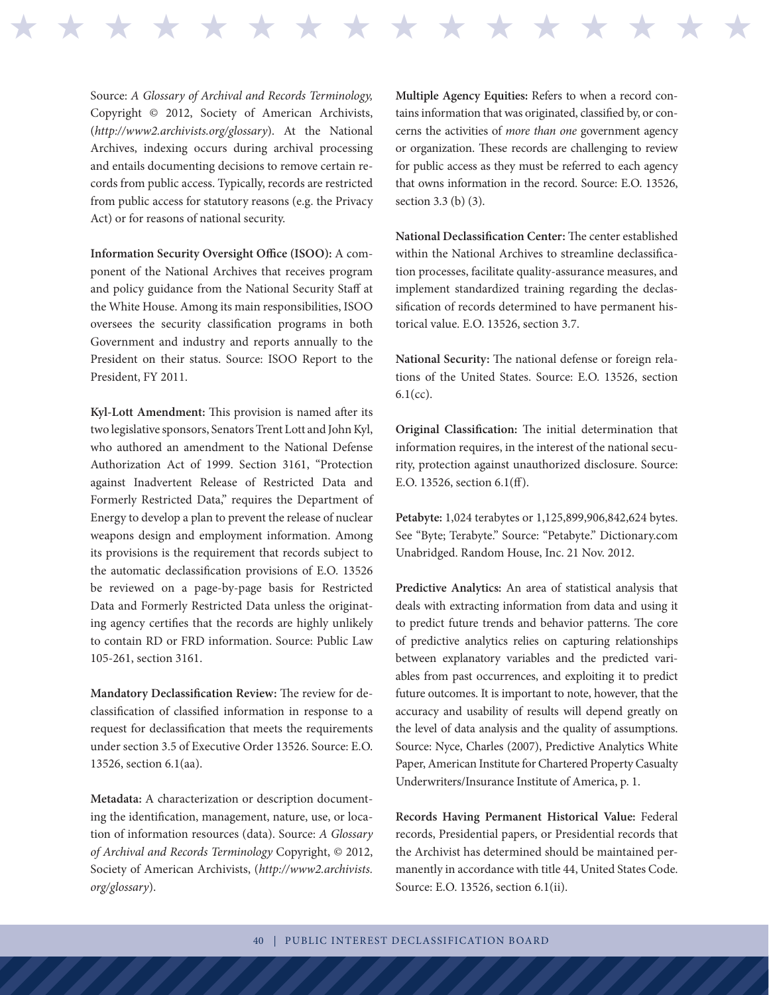Source: *A Glossary of Archival and Records Terminology,* Copyright © 2012, Society of American Archivists, (*http://www2.archivists.org/glossary*). At the National Archives, indexing occurs during archival processing and entails documenting decisions to remove certain records from public access. Typically, records are restricted from public access for statutory reasons (e.g. the Privacy Act) or for reasons of national security.

H H H H H H H H H H H H H H H H H H H H H H H H H H H H H H H H

**Information Security Oversight Office (ISOO):** A component of the National Archives that receives program and policy guidance from the National Security Staff at the White House. Among its main responsibilities, ISOO oversees the security classification programs in both Government and industry and reports annually to the President on their status. Source: ISOO Report to the President, FY 2011.

**Kyl-Lott Amendment:** This provision is named after its two legislative sponsors, Senators Trent Lott and John Kyl, who authored an amendment to the National Defense Authorization Act of 1999. Section 3161, "Protection against Inadvertent Release of Restricted Data and Formerly Restricted Data," requires the Department of Energy to develop a plan to prevent the release of nuclear weapons design and employment information. Among its provisions is the requirement that records subject to the automatic declassification provisions of E.O. 13526 be reviewed on a page-by-page basis for Restricted Data and Formerly Restricted Data unless the originating agency certifies that the records are highly unlikely to contain RD or FRD information. Source: Public Law 105-261, section 3161.

**Mandatory Declassification Review:** The review for declassification of classified information in response to a request for declassification that meets the requirements under section 3.5 of Executive Order 13526. Source: E.O. 13526, section 6.1(aa).

**Metadata:** A characterization or description documenting the identification, management, nature, use, or location of information resources (data). Source: *A Glossary of Archival and Records Terminology* Copyright, © 2012, Society of American Archivists, (*http://www2.archivists. org/glossary*).

**Multiple Agency Equities:** Refers to when a record contains information that was originated, classified by, or concerns the activities of *more than one* government agency or organization. These records are challenging to review for public access as they must be referred to each agency that owns information in the record. Source: E.O. 13526, section 3.3 (b) (3).

**National Declassification Center:** The center established within the National Archives to streamline declassification processes, facilitate quality-assurance measures, and implement standardized training regarding the declassification of records determined to have permanent historical value. E.O. 13526, section 3.7.

**National Security:** The national defense or foreign relations of the United States. Source: E.O. 13526, section  $6.1$ (cc).

**Original Classification:** The initial determination that information requires, in the interest of the national security, protection against unauthorized disclosure. Source: E.O. 13526, section 6.1(ff).

**Petabyte:** 1,024 terabytes or 1,125,899,906,842,624 bytes. See "Byte; Terabyte." Source: "Petabyte." Dictionary.com Unabridged. Random House, Inc. 21 Nov. 2012.

**Predictive Analytics:** An area of statistical analysis that deals with extracting information from data and using it to predict future trends and behavior patterns. The core of predictive analytics relies on capturing relationships between explanatory variables and the predicted variables from past occurrences, and exploiting it to predict future outcomes. It is important to note, however, that the accuracy and usability of results will depend greatly on the level of data analysis and the quality of assumptions. Source: Nyce, Charles (2007), Predictive Analytics White Paper, American Institute for Chartered Property Casualty Underwriters/Insurance Institute of America, p. 1.

**Records Having Permanent Historical Value:** Federal records, Presidential papers, or Presidential records that the Archivist has determined should be maintained permanently in accordance with title 44, United States Code. Source: E.O. 13526, section 6.1(ii).